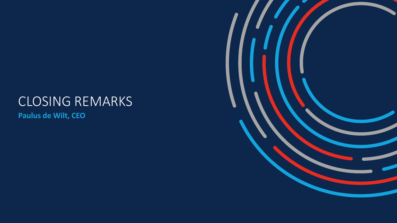## CLOSING REMARKS

**Paulus de Wilt, CEO**

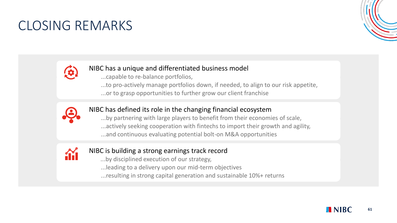### CLOSING REMARKS





#### NIBC has a unique and differentiated business model

- ...capable to re-balance portfolios,
- ...to pro-actively manage portfolios down, if needed, to align to our risk appetite, ...or to grasp opportunities to further grow our client franchise



#### NIBC has defined its role in the changing financial ecosystem

...by partnering with large players to benefit from their economies of scale, ...actively seeking cooperation with fintechs to import their growth and agility, ...and continuous evaluating potential bolt-on M&A opportunities



#### NIBC is building a strong earnings track record

- ...by disciplined execution of our strategy,
- ...leading to a delivery upon our mid-term objectives
- ...resulting in strong capital generation and sustainable 10%+ returns

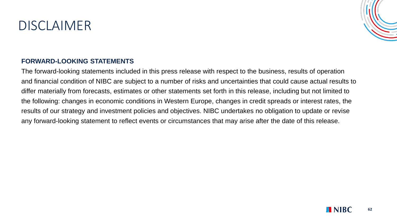### DISCLAIMER



#### **FORWARD-LOOKING STATEMENTS**

The forward-looking statements included in this press release with respect to the business, results of operation and financial condition of NIBC are subject to a number of risks and uncertainties that could cause actual results to differ materially from forecasts, estimates or other statements set forth in this release, including but not limited to the following: changes in economic conditions in Western Europe, changes in credit spreads or interest rates, the results of our strategy and investment policies and objectives. NIBC undertakes no obligation to update or revise any forward-looking statement to reflect events or circumstances that may arise after the date of this release.